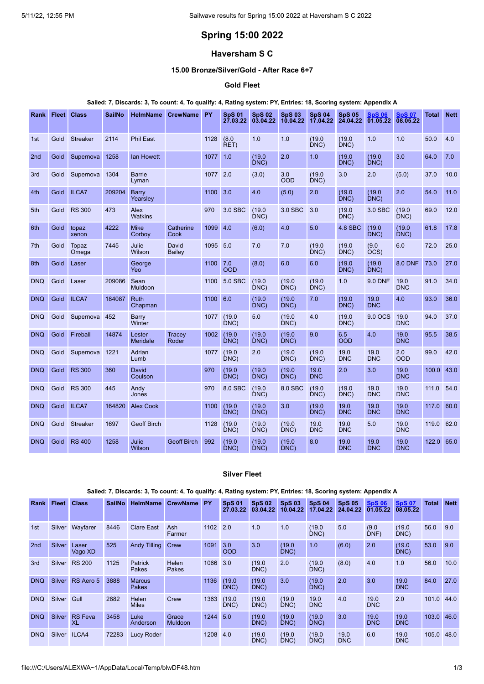# **Spring 15:00 2022**

## **Haversham S C**

## **15.00 Bronze/Silver/Gold - After Race 6+7**

### **Gold Fleet**

#### Sailed: 7, Discards: 3, To count: 4, To qualify: 4, Rating system: PY, Entries: 18, Scoring system: Appendix A

| Rank            | <b>Fleet</b> | <b>Class</b>    | <b>SailNo</b> | <b>HelmName</b>           | <b>CrewName</b>        | PY   | <b>SpS 01</b><br>27.03.22 | <b>SpS 02</b><br>03.04.22 | <b>SpS 03</b><br>10.04.22 | <b>SpS 04</b><br>17.04.22 | <b>SpS 05</b><br>24.04.22 | <b>SpS 06</b><br>01.05.22 | <b>SpS 07</b><br>08.05.22 | <b>Total</b> | <b>Nett</b> |
|-----------------|--------------|-----------------|---------------|---------------------------|------------------------|------|---------------------------|---------------------------|---------------------------|---------------------------|---------------------------|---------------------------|---------------------------|--------------|-------------|
| 1st             | Gold         | <b>Streaker</b> | 2114          | <b>Phil East</b>          |                        | 1128 | (8.0)<br>RET)             | 1.0                       | 1.0                       | (19.0)<br>DNC             | (19.0)<br>DNC)            | 1.0                       | 1.0                       | 50.0         | 4.0         |
| 2 <sub>nd</sub> | Gold         | Supernova       | 1258          | <b>lan Howett</b>         |                        | 1077 | 1.0                       | (19.0)<br>DNC)            | 2.0                       | 1.0                       | (19.0)<br>DNC)            | (19.0)<br>DNC)            | 3.0                       | 64.0         | 7.0         |
| 3rd             | Gold         | Supernova       | 1304          | <b>Barrie</b><br>Lyman    |                        | 1077 | 2.0                       | (3.0)                     | 3.0<br><b>OOD</b>         | (19.0)<br>DNC)            | 3.0                       | 2.0                       | (5.0)                     | 37.0         | 10.0        |
| 4th             | Gold         | <b>ILCA7</b>    | 209204        | <b>Barry</b><br>Yearsley  |                        | 1100 | 3.0                       | 4.0                       | (5.0)                     | 2.0                       | (19.0)<br>DNC)            | (19.0)<br>DNC)            | 2.0                       | 54.0         | 11.0        |
| 5th             | Gold         | <b>RS 300</b>   | 473           | Alex<br><b>Watkins</b>    |                        | 970  | 3.0 SBC                   | (19.0)<br>DNC)            | 3.0 SBC                   | 3.0                       | (19.0)<br>DNC)            | 3.0 SBC                   | (19.0)<br>DNC)            | 69.0         | 12.0        |
| 6th             | Gold         | topaz<br>xenon  | 4222          | <b>Mike</b><br>Corboy     | Catherine<br>Cook      | 1099 | 4.0                       | (6.0)                     | 4.0                       | 5.0                       | <b>4.8 SBC</b>            | (19.0)<br>DNC)            | (19.0)<br>DNC)            | 61.8         | 17.8        |
| 7th             | Gold         | Topaz<br>Omega  | 7445          | Julie<br>Wilson           | David<br><b>Bailey</b> | 1095 | 5.0                       | 7.0                       | 7.0                       | (19.0)<br>DNC)            | (19.0)<br>DNC)            | (9.0)<br>OCS)             | 6.0                       | 72.0         | 25.0        |
| 8th             | Gold         | Laser           |               | George<br>Yeo             |                        | 1100 | 7.0<br><b>OOD</b>         | (8.0)                     | 6.0                       | 6.0                       | (19.0)<br>DNC)            | (19.0)<br>DNC)            | <b>8.0 DNF</b>            | 73.0         | 27.0        |
| <b>DNQ</b>      | Gold         | Laser           | 209086        | Sean<br><b>Muldoon</b>    |                        | 1100 | 5.0 SBC                   | (19.0)<br>DNC)            | (19.0)<br>DNC)            | (19.0)<br>DNC)            | 1.0                       | <b>9.0 DNF</b>            | 19.0<br><b>DNC</b>        | 91.0         | 34.0        |
| <b>DNQ</b>      | Gold         | <b>ILCA7</b>    | 184087        | <b>Ruth</b><br>Chapman    |                        | 1100 | 6.0                       | (19.0)<br>DNC)            | (19.0)<br>DNC)            | 7.0                       | (19.0)<br>DNC)            | 19.0<br><b>DNC</b>        | 4.0                       | 93.0         | 36.0        |
| <b>DNQ</b>      | Gold         | Supernova       | 452           | Barry<br>Winter           |                        | 1077 | (19.0)<br>DNC)            | 5.0                       | (19.0)<br>DNC)            | 4.0                       | (19.0)<br>DNC)            | 9.0 OCS                   | 19.0<br><b>DNC</b>        | 94.0         | 37.0        |
| <b>DNQ</b>      | Gold         | Fireball        | 14874         | Lester<br><b>Meridale</b> | Tracey<br>Roder        | 1002 | (19.0)<br>DNC)            | (19.0)<br>DNC)            | (19.0)<br>DNC)            | 9.0                       | 6.5<br><b>OOD</b>         | 4.0                       | 19.0<br><b>DNC</b>        | 95.5         | 38.5        |
| <b>DNQ</b>      | Gold         | Supernova       | 1221          | Adrian<br>Lumb            |                        | 1077 | (19.0)<br>DNC)            | 2.0                       | (19.0)<br>DNC)            | (19.0)<br>DNC)            | 19.0<br><b>DNC</b>        | 19.0<br><b>DNC</b>        | 2.0<br><b>OOD</b>         | 99.0         | 42.0        |
| <b>DNQ</b>      | Gold         | <b>RS 300</b>   | 360           | David<br>Coulson          |                        | 970  | (19.0)<br>DNC)            | (19.0)<br>DNC)            | (19.0)<br>DNC)            | 19.0<br><b>DNC</b>        | 2.0                       | 3.0                       | 19.0<br><b>DNC</b>        | 100.0        | 43.0        |
| <b>DNQ</b>      | Gold         | <b>RS 300</b>   | 445           | Andy<br>Jones             |                        | 970  | 8.0 SBC                   | (19.0)<br>DNC)            | 8.0 SBC                   | (19.0)<br>DNC)            | (19.0)<br>DNC             | 19.0<br><b>DNC</b>        | 19.0<br><b>DNC</b>        | 111.0        | 54.0        |
| <b>DNQ</b>      | Gold         | <b>ILCA7</b>    | 164820        | <b>Alex Cook</b>          |                        | 1100 | (19.0)<br>DNC)            | (19.0)<br>DNC)            | 3.0                       | (19.0)<br>DNC)            | 19.0<br><b>DNC</b>        | 19.0<br><b>DNC</b>        | 19.0<br><b>DNC</b>        | 117.0        | 60.0        |
| <b>DNQ</b>      | Gold         | <b>Streaker</b> | 1697          | <b>Geoff Birch</b>        |                        | 1128 | (19.0)<br>DNC)            | (19.0)<br>DNC)            | (19.0)<br>DNC)            | 19.0<br><b>DNC</b>        | 19.0<br><b>DNC</b>        | 5.0                       | 19.0<br><b>DNC</b>        | 119.0        | 62.0        |
| <b>DNQ</b>      | Gold         | <b>RS 400</b>   | 1258          | Julie<br>Wilson           | <b>Geoff Birch</b>     | 992  | (19.0)<br>DNC)            | (19.0)<br>DNC)            | (19.0)<br>DNC)            | 8.0                       | 19.0<br><b>DNC</b>        | 19.0<br><b>DNC</b>        | 19.0<br><b>DNC</b>        | 122.0        | 65.0        |

### **Silver Fleet**

### Sailed: 7, Discards: 3, To count: 4, To qualify: 4, Rating system: PY, Entries: 18, Scoring system: Appendix A

| Rank            | Fleet         | <b>Class</b>         | <b>SailNo</b> | <b>HelmName</b>               | <b>CrewName</b>         | <b>PY</b> | <b>SpS 01</b><br>27.03.22 | <b>SpS 02</b><br>03.04.22 | <b>SpS 03</b><br>10.04.22 | <b>SpS 04</b><br>17.04.22 | <b>SpS 05</b><br>24.04.22 | <b>SpS 06</b><br>01.05.22 | <b>SpS 07</b><br>08.05.22 | <b>Total</b> | <b>Nett</b> |
|-----------------|---------------|----------------------|---------------|-------------------------------|-------------------------|-----------|---------------------------|---------------------------|---------------------------|---------------------------|---------------------------|---------------------------|---------------------------|--------------|-------------|
| 1st             | Silver        | Wayfarer             | 8446          | <b>Clare East</b>             | Ash<br>Farmer           | 1102      | 2.0                       | 1.0                       | 1.0                       | (19.0)<br>DNC)            | 5.0                       | (9.0)<br>DNF)             | (19.0)<br>DNC)            | 56.0         | 9.0         |
| 2 <sub>nd</sub> | <b>Silver</b> | Laser<br>Vago XD     | 525           | <b>Andy Tilling</b>           | Crew                    | 1091      | 3.0<br><b>OOD</b>         | 3.0                       | (19.0)<br>DNC)            | 1.0                       | (6.0)                     | 2.0                       | (19.0)<br>DNC)            | 53.0         | 9.0         |
| 3rd             | Silver        | <b>RS 200</b>        | 1125          | Patrick<br>Pakes              | Helen<br>Pakes          | 1066      | 3.0                       | (19.0)<br>DNC)            | 2.0                       | (19.0)<br>DNC)            | (8.0)                     | 4.0                       | 1.0                       | 56.0         | 10.0        |
| <b>DNQ</b>      | Silver        | RS Aero 5            | 3888          | <b>Marcus</b><br><b>Pakes</b> |                         | 1136      | (19.0)<br>DNC)            | (19.0)<br>DNC)            | 3.0                       | (19.0)<br>DNC)            | 2.0                       | 3.0                       | 19.0<br><b>DNC</b>        | 84.0         | 27.0        |
| <b>DNQ</b>      | Silver        | Gull                 | 2882          | Helen<br><b>Miles</b>         | Crew                    | 1363      | (19.0)<br>DNC)            | (19.0)<br>DNC)            | (19.0)<br>DNC)            | 19.0<br><b>DNC</b>        | 4.0                       | 19.0<br><b>DNC</b>        | 2.0                       | 101.0        | 44.0        |
| <b>DNQ</b>      | Silver        | <b>RS</b> Feva<br>XL | 3458          | Luke<br>Anderson              | Grace<br><b>Muldoon</b> | 1244      | 5.0                       | (19.0)<br>DNC)            | (19.0)<br>DNC)            | (19.0)<br>DNC)            | 3.0                       | 19.0<br><b>DNC</b>        | 19.0<br><b>DNC</b>        | 103.0        | 46.0        |
| <b>DNQ</b>      | Silver        | ILCA4                | 72283         | <b>Lucy Roder</b>             |                         | 1208      | 4.0                       | (19.0)<br>DNC)            | (19.0)<br>DNC)            | (19.0)<br>DNC)            | 19.0<br><b>DNC</b>        | 6.0                       | 19.0<br><b>DNC</b>        | 105.0        | 48.0        |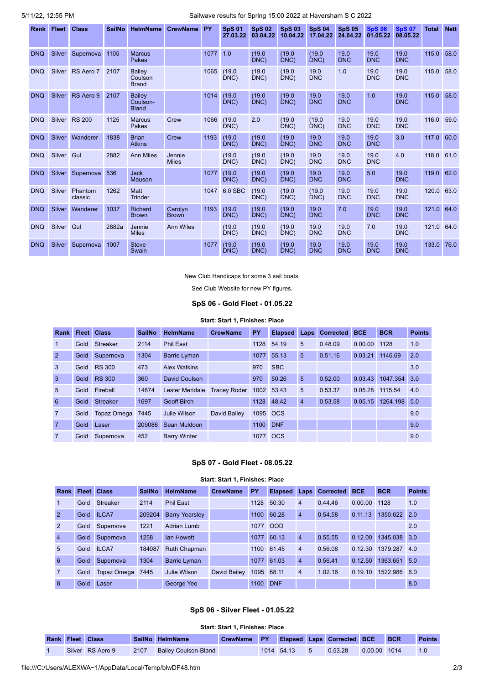### 5/11/22, 12:55 PM Sailwave results for Spring 15:00 2022 at Haversham S C 2022

| Rank       | <b>Fleet</b>  | <b>Class</b>       | <b>SailNo</b> | <b>HelmName</b>                           | <b>CrewName</b>         | PY   | <b>SpS 01</b><br>27.03.22 | <b>SpS02</b><br>03.04.22 | <b>SpS 03</b><br>10.04.22 | <b>SpS 04</b><br>17.04.22 | <b>SpS 05</b><br>24.04.22 | <b>SpS 06</b><br>01.05.22 | <b>SpS 07</b><br>08.05.22 | <b>Total</b> | <b>Nett</b> |
|------------|---------------|--------------------|---------------|-------------------------------------------|-------------------------|------|---------------------------|--------------------------|---------------------------|---------------------------|---------------------------|---------------------------|---------------------------|--------------|-------------|
| <b>DNQ</b> | Silver        | Supernova          | 1105          | <b>Marcus</b><br><b>Pakes</b>             |                         | 1077 | 1.0                       | (19.0)<br>DNC)           | (19.0)<br>DNC)            | (19.0)<br>DNC             | 19.0<br><b>DNC</b>        | 19.0<br><b>DNC</b>        | 19.0<br><b>DNC</b>        | 115.0        | 58.0        |
| <b>DNQ</b> | <b>Silver</b> | RS Aero 7          | 2107          | <b>Bailey</b><br>Coulson<br><b>Brand</b>  |                         | 1065 | (19.0)<br>DNC)            | (19.0)<br>DNC)           | (19.0)<br>DNC)            | 19.0<br><b>DNC</b>        | 1.0                       | 19.0<br><b>DNC</b>        | 19.0<br><b>DNC</b>        | 115.0        | 58.0        |
| <b>DNQ</b> | <b>Silver</b> | RS Aero 9          | 2107          | <b>Bailev</b><br>Coulson-<br><b>Bland</b> |                         | 1014 | (19.0)<br>DNC             | (19.0)<br>DNC            | (19.0)<br>DNC)            | 19.0<br><b>DNC</b>        | 19.0<br><b>DNC</b>        | 1.0                       | 19.0<br><b>DNC</b>        | 115.0        | 58.0        |
| <b>DNQ</b> | Silver        | <b>RS 200</b>      | 1125          | <b>Marcus</b><br>Pakes                    | Crew                    | 1066 | (19.0)<br>DNC)            | 2.0                      | (19.0)<br>DNC)            | (19.0)<br>DNC             | 19.0<br><b>DNC</b>        | 19.0<br><b>DNC</b>        | 19.0<br><b>DNC</b>        | 116.0        | 59.0        |
| <b>DNQ</b> | Silver        | Wanderer           | 1838          | <b>Brian</b><br><b>Atkins</b>             | Crew                    | 1193 | (19.0)<br>DNC)            | (19.0)<br>DNC)           | (19.0)<br>DNC)            | 19.0<br><b>DNC</b>        | 19.0<br><b>DNC</b>        | 19.0<br><b>DNC</b>        | 3.0                       | 117.0        | 60.0        |
| <b>DNQ</b> | Silver Gul    |                    | 2882          | <b>Ann Miles</b>                          | Jennie<br><b>Miles</b>  |      | (19.0)<br>DNC             | (19.0)<br>DNC            | (19.0)<br>DNC)            | 19.0<br><b>DNC</b>        | 19.0<br><b>DNC</b>        | 19.0<br><b>DNC</b>        | 4.0                       | 118.0        | 61.0        |
| <b>DNQ</b> | Silver        | Supernova          | 536           | <b>Jack</b><br>Mauson                     |                         | 1077 | (19.0)<br>DNC)            | (19.0)<br>DNC)           | (19.0)<br>DNC)            | 19.0<br><b>DNC</b>        | 19.0<br><b>DNC</b>        | 5.0                       | 19.0<br><b>DNC</b>        | 119.0        | 62.0        |
| <b>DNQ</b> | Silver        | Phantom<br>classic | 1262          | Matt<br><b>Trinder</b>                    |                         | 1047 | 6.0 SBC                   | (19.0)<br>DNC)           | (19.0)<br>DNC)            | (19.0)<br>DNC             | 19.0<br><b>DNC</b>        | 19.0<br><b>DNC</b>        | 19.0<br><b>DNC</b>        | 120.0        | 63.0        |
| <b>DNQ</b> | <b>Silver</b> | Wanderer           | 1037          | <b>Richard</b><br><b>Brown</b>            | Carolyn<br><b>Brown</b> | 1193 | (19.0)<br>DNC)            | (19.0)<br>DNC            | (19.0)<br>DNC)            | 19.0<br><b>DNC</b>        | 7.0                       | 19.0<br><b>DNC</b>        | 19.0<br><b>DNC</b>        | 121.0 64.0   |             |
| <b>DNQ</b> | Silver        | Gul                | 2882a         | Jennie<br><b>Miles</b>                    | <b>Ann Wiles</b>        |      | (19.0)<br>DNC             | (19.0)<br>DNC)           | (19.0)<br>DNC)            | 19.0<br><b>DNC</b>        | 19.0<br><b>DNC</b>        | 7.0                       | 19.0<br><b>DNC</b>        | 121.0        | 64.0        |
| <b>DNQ</b> | <b>Silver</b> | Supernova          | 1007          | <b>Steve</b><br>Swain                     |                         | 1077 | (19.0)<br>DNC)            | (19.0)<br>DNC)           | (19.0)<br>DNC)            | 19.0<br><b>DNC</b>        | 19.0<br><b>DNC</b>        | 19.0<br><b>DNC</b>        | 19.0<br><b>DNC</b>        | 133.0        | 76.0        |

New Club Handicaps for some 3 sail boats.

See Club Website for new PY figures.

#### **SpS 06 - Gold Fleet - 01.05.22**

#### **Start: Start 1, Finishes: Place**

<span id="page-1-0"></span>

| <b>Rank</b>    |      | <b>Fleet Class</b> | <b>SailNo</b> | <b>HelmName</b>        | <b>CrewName</b>     | PY   | <b>Elapsed</b> | Laps           | <b>Corrected</b> | <b>BCE</b> | <b>BCR</b>   | <b>Points</b> |
|----------------|------|--------------------|---------------|------------------------|---------------------|------|----------------|----------------|------------------|------------|--------------|---------------|
|                | Gold | <b>Streaker</b>    | 2114          | <b>Phil East</b>       |                     | 1128 | 54.19          | 5              | 0.48.09          | 0.00.00    | 1128         | 1.0           |
| 2              | Gold | Supernova          | 1304          | <b>Barrie Lyman</b>    |                     | 1077 | 55.13          | 5              | 0.51.16          | 0.03.21    | 1146.69      | 2.0           |
| 3              | Gold | <b>RS 300</b>      | 473           | <b>Alex Watkins</b>    |                     | 970  | <b>SBC</b>     |                |                  |            |              | 3.0           |
| 3              | Gold | <b>RS 300</b>      | 360           | David Coulson          |                     | 970  | 50.26          | 5              | 0.52.00          | 0.03.43    | 1047.354 3.0 |               |
| 5              | Gold | Fireball           | 14874         | <b>Lester Meridale</b> | <b>Tracey Roder</b> |      | 1002 53.43     | 5              | 0.53.37          | 0.05.28    | 1115.54      | 4.0           |
| 6              | Gold | <b>Streaker</b>    | 1697          | <b>Geoff Birch</b>     |                     | 1128 | 48.42          | $\overline{4}$ | 0.53.58          | 0.05.15    | 1264.198     | 5.0           |
| $\overline{7}$ | Gold | Topaz Omega        | 7445          | Julie Wilson           | David Bailey        |      | 1095 OCS       |                |                  |            |              | 9.0           |
| $\overline{7}$ | Gold | Laser              | 209086        | Sean Muldoon           |                     | 1100 | <b>DNF</b>     |                |                  |            |              | 9.0           |
| $\overline{7}$ | Gold | Supernova          | 452           | <b>Barry Winter</b>    |                     | 1077 | <b>OCS</b>     |                |                  |            |              | 9.0           |

# **SpS 07 - Gold Fleet - 08.05.22 Start: Start 1, Finishes: Place**

<span id="page-1-1"></span>

| Rank | <b>Fleet Class</b> |            | <b>SailNo</b> | <b>HelmName</b>       | <b>CrewName</b> | <b>PY</b> |            |                | <b>Elapsed Laps Corrected BCE</b> |              | <b>BCR</b>                  | <b>Points</b> |
|------|--------------------|------------|---------------|-----------------------|-----------------|-----------|------------|----------------|-----------------------------------|--------------|-----------------------------|---------------|
|      | Gold               | Streaker   | 2114          | <b>Phil East</b>      |                 |           | 1128 50.30 | $\overline{4}$ | 0.44.46                           | 0.00.00 1128 |                             | 1.0           |
| 2    |                    | Gold ILCA7 |               | 209204 Barry Yearsley |                 |           | 1100 60.28 | $\overline{4}$ | 0.54.58                           |              | $\mid$ 0.11.13 1350.622 2.0 |               |
|      | Gold               | Supernova  | 1221          | Adrian Lumb           |                 | 1077 OOD  |            |                |                                   |              |                             | 2.0           |

|    |      | Gold Supernova | 1221   | Adrian Lumb         |              | 1077 OOD |            |                |         |         |              | 2.0 |
|----|------|----------------|--------|---------------------|--------------|----------|------------|----------------|---------|---------|--------------|-----|
| 4  | Gold | Supernova      | 1258   | lan Howett          |              | 1077     | 60.13      | $\overline{4}$ | 0.55.55 | 0.12.00 | 1345.038 3.0 |     |
| 5. |      | Gold ILCA7     | 184087 | <b>Ruth Chapman</b> |              |          | 1100 61.45 | $\overline{4}$ | 0.56.08 | 0.12.30 | 1379.287 4.0 |     |
| 6. | Gold | Supernova      | 1304   | Barrie Lyman        |              |          | 1077 61.03 | $\overline{4}$ | 0.56.41 | 0.12.50 | 1363.651 5.0 |     |
|    | Gold | Topaz Omega    | 7445   | Julie Wilson        | David Bailey | 1095     | 68.11      | $\overline{4}$ | 1.02.16 | 0.19.10 | 1522.986 6.0 |     |
| 8  | Gold | Laser          |        | George Yeo          |              | 1100     | <b>DNF</b> |                |         |         |              | 8.0 |

### **SpS 06 - Silver Fleet - 01.05.22**

#### **Start: Start 1, Finishes: Place**

<span id="page-1-2"></span>

|  | <b>Rank Fleet Class</b> |      | SailNo HelmName      | CrewName PY Elapsed Laps Corrected BCE BCR |              |         |                | Points |
|--|-------------------------|------|----------------------|--------------------------------------------|--------------|---------|----------------|--------|
|  | Silver RS Aero 9        | 2107 | Bailey Coulson-Bland |                                            | 1014 54.13 5 | 0.53.28 | $0.00.00$ 1014 |        |